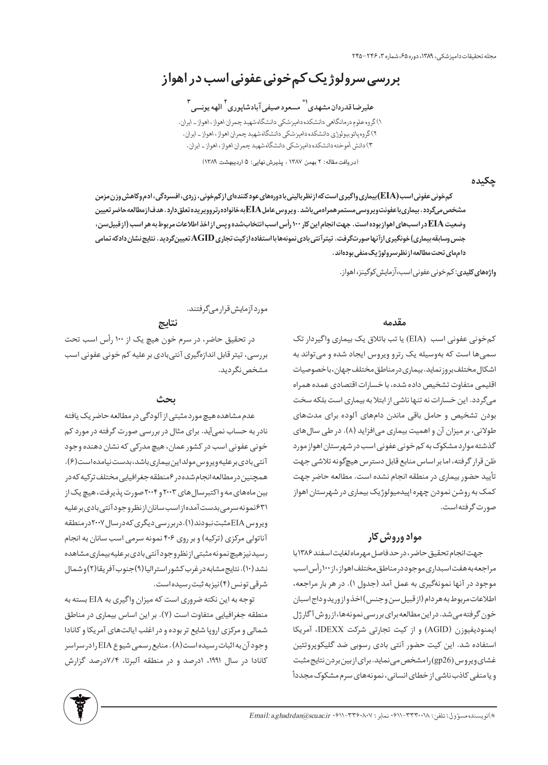بررسی سرولوژ یک کم خونی عفونی اسب در اهواز

عليرضا قدردان مشهدي<sup>\\*</sup> مسعود صيفي آبادشاپوري<sup>٢</sup> الهه يونسي

١) گروه علوم درمانگاهي دانشكده دامپزشكي دانشگاه شهيد چمران اهواز، اهواز ـ ايران. ۲) گروه پاتو بیولوژی دانشکده دامپزشکی دانشگاه شهید چمران اهواز، اهواز ـ ایران. ۳) دانش آموخته دانشکده دامپزشکی دانشگاهشهید چمران اهواز، اهواز ـ ایران.

(دریافت مقاله: ۲ بهمن ۱۳۸۷ ، یذیرش نهایی: ۵ اردیبهشت ۱۳۸۹)

چکیدہ

کم خونی عفونی اسب (EIA)بیماری واگیری است که از نظر بالینی با دورههای عود کنندهای از کم خونی، زردی، افسردگی، ادم وکاهش وزن مزمن مشخص میگردد. بیماریباعفونتویبروسی مستمرهمراهمی باشد. ویروس عامل EIAبه خانواده رتروویریده تعلق دارد. هدف ازمطالعه حاضر تعیین وضعیت EIA در اسبهای اهوازبوده است. جهت انجام این کار ۱۰۰ رأس اسب انتخاب شده وپس از اخذ اطلاعات مربوط به هر اسب (ازقبیل سن، جنس وسابقه بیماری) خونگیری ازآنها صورتگرفت. تیترآنتی بادی نمونهها با استفاده از کیت تجاری  $\bf{AGID}$  تعیین $\bf{\tilde{c}}$ دید. نتایج نشان دادکه تمامی داممای تحت مطالعه از نظرسرولوژ یک منفی بودهاند.

واژههای کلیدی: کم خونی عفونی اسب، آزمایش کوگینز، اهواز.

#### مقدمه

کمِ خونی عفونی اسب (EIA) یا تب باتلاق یک بیماری واگیردار تک سمیها است که بهوسیله یک رترو ویروس ایجاد شده و میتواند به اشكال مختلف بروزنمايد. بيماري درمناطق مختلف جهان، باخصوصيات اقلیمی متفاوت تشخیص داده شده، با خسارات اقتصادی عمده همراه میگردد. این خسارات نه تنها ناشی از ابتلا به بیماری است بلکه سخت بودن تشخیص و حامل باقی ماندن دامهای آلوده برای مدتهای طولانی، بر میزان آن و اهمیت بیماری میافزاید (۸). در طی سال های گذشته موارد مشکوک به کم خونی عفونی اسب در شهرستان اهواز مورد ظن قرار گرفته، اما بر اساس منابع قابل دسترس هیچگونه تلاشی جهت تأييد حضور بيماري در منطقه انجام نشده است. مطالعه حاضر جهت کمک به روشن نمودن چهره اپیدمیولوژیک بیماری در شهرستان اهواز صورت گرفته است.

### مواد وروش کار

جهت انجام تحقيق حاضر، در حد فاصل مهرماه لغايت اسفند ١٣٨۶ با مراجعهبه هفت اسبدارى موجوددر مناطق مختلف اهواز ، از ١٠٠ رأس اسب موجود در آنها نمونهگیری به عمل آمد (جدول ۱). در هر بار مراجعه، اطلاعات مربوط به هر دام (از قبيل سن وجنس) اخذ وازوريد و داج اسبان خون گرفته می شد. در این مطالعه برای بررسی نمونهها، از روش آگارژل ايمنوديفيوزن (AGID) و از كيت تجارتي شركت IDEXX، آمريكا استفاده شد. این کیت حضور آنتی بادی رسوبی ضد گلیکوپروتئین غشای ویروس (gp26) را مشخص می نماید. برای از بین بردن نتایج مثبت و یا منفی کاذب ناشی از خطای انسانی، نمونههای سرم مشکوک مجدداً

مورد آزمایش قرار *میگر*فتند.

## نتايج

در تحقیق حاضر، در سرم خون هیچ یک از ۱۰۰ رأس اسب تحت بررسی، تیتر قابل اندازہگیری آنتے ہادی بر علیه کم خونی عفونی اسب مشخص نگردید.

#### بحث

عدم مشاهده هيچ مورد مثبتي از آلودگي در مطالعه حاضريک يافته نادر به حساب نمیآید. برای مثال در بررسی صورت گرفته در مورد کم خونی عفونی اسب در کشور عمان، هیچ مدرکی که نشان دهنده وجود آنتی بادی برعلیه ویروس مولداین بیماری باشد، بدست نیامده است (۶). همچنین در مطالعه انجام شده در ۶منطقه جغرافیایی مختلف ترکیه که در بین ماههای مه و اکتبرسال های ۲۰۰۳ و ۲۰۰۴ صورت پذیرفت، هیچ یک از ۴۳۱ نمونه سرمی بدست آمده از اسب سانان از نظرو جودآنتی بادی بر علیه ويروس EIAمثبت نبودند(١).دربررسي ديگري كهدرسال ٢٠٠٧درمنطقه آناتولی مرکزی (ترکیه) و بر روی ۴۰۶ نمونه سرمی اسب سانان به انجام رسيدنيز هيچ نمونه مثبتى ازنظروجود آنتى بادى برعليه بيمارى مشاهده نشد (١٠). نتايج مشابه در غرب كشور استراليا (٩)جنوب آفريقا (٢) وشمال شرقى تونس (۴) نيزبه ثبت رسيده است.

توجه به این نکته ضروری است که میزان واگیری به EIA بسته به منطقه جغرافیایی متفاوت است (۷). بر این اساس بیماری در مناطق شمالی و مرکزی اروپا شایع تر بوده و در اغلب ایالتهای آمریکا و کانادا وجود آن به اثبات رسیده است(۸) . منابع رسمی شیوع EIA را در سراسر کانادا در سال ۱۹۹۱، ادرصد و در منطقه آلبرتا، ۷/۴درصد گزارش



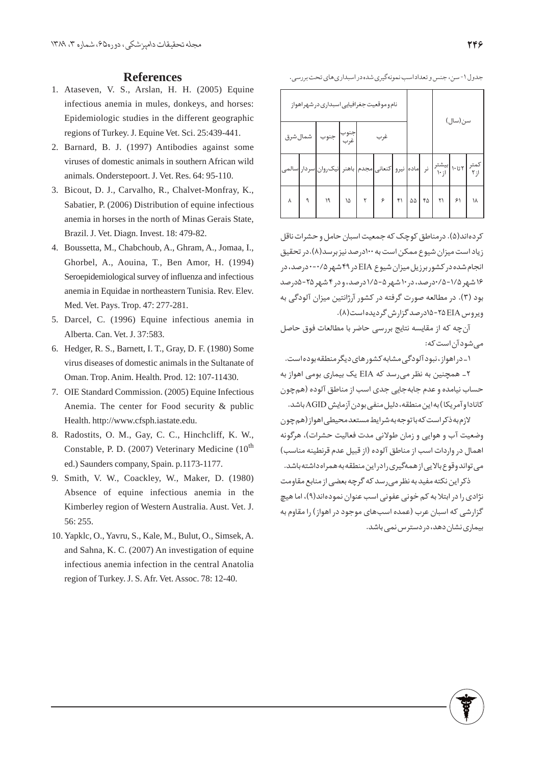- Ataseven, V. S., Arslan, H. H. (2005) Equine 1. infectious anemia in mules, donkeys, and horses: Epidemiologic studies in the different geographic regions of Turkey. J. Equine Vet. Sci. 25:439-441.
- Barnard, B. J. (1997) Antibodies against some 2. viruses of domestic animals in southern African wild animals. Onderstepoort. J. Vet. Res. 64: 95-110.
- Bicout, D. J., Carvalho, R., Chalvet-Monfray, K., 3. Sabatier, P. (2006) Distribution of equine infectious anemia in horses in the north of Minas Gerais State, Brazil. J. Vet. Diagn. Invest. 18: 479-82.
- Boussetta, M., Chabchoub, A., Ghram, A., Jomaa, I., 4. Ghorbel, A., Aouina, T., Ben Amor, H. (1994) Seroepidemiological survey of influenza and infectious anemia in Equidae in northeastern Tunisia. Rev. Elev. Med. Vet. Pays. Trop. 47: 277-281.
- 5. Darcel, C. (1996) Equine infectious anemia in Alberta. Can. Vet. J. 37:583.
- Hedger, R. S., Barnett, I. T., Gray, D. F. (1980) Some 6. virus diseases of domestic animals in the Sultanate of Oman. Trop. Anim. Health. Prod. 12: 107-11430.
- 7. OIE Standard Commission. (2005) Equine Infectious Anemia. The center for Food security & public Health. http://www.cfsph.iastate.edu.
- 8. Radostits, O. M., Gay, C. C., Hinchcliff, K. W., Constable, P. D. (2007) Veterinary Medicine  $(10^{th}$ ed.) Saunders company, Spain. p.1173-1177.
- Smith, V. W., Coackley, W., Maker, D. (1980) 9. Absence of equine infectious anemia in the Kimberley region of Western Australia. Aust. Vet. J. 56: 255.
- Yapklc, O., Yavru, S., Kale, M., Bulut, O., Simsek, A. 10. and Sahna, K. C. (2007) An investigation of equine infectious anemia infection in the central Anatolia region of Turkey. J. S. Afr. Vet. Assoc. 78: 12-40.

جدول ۱- سن، جنس و تعداداسب نمونهگیری شده در اسبداری های تحت بررسی.

| نام وموقعیت جغرافیایی اسبداری در شهر اهواز        |  |                                                                                                      |  |  |  |  |  |  | سن(سال) |  |
|---------------------------------------------------|--|------------------------------------------------------------------------------------------------------|--|--|--|--|--|--|---------|--|
| جنوب   جنوب   شمال شرق<br>  غرب   جنوب   شمال شرق |  |                                                                                                      |  |  |  |  |  |  |         |  |
|                                                   |  | <br>  كمتر   ٢تا١٠   يبشتر  نر   ماده  نيرو   كنعانى  مجدم  باهنر   نيك روان  سردار  سالمى <br>  از٢ |  |  |  |  |  |  |         |  |
|                                                   |  |                                                                                                      |  |  |  |  |  |  |         |  |

کردهاند(۵). درمناطق کوچک که جمعیت اسبان حامل و حشرات ناقل زیاد است میزان شیوع ممکن است به ۱۰۰درصد نیز برسد(۸).در تحقیق انجام شده در کشور برزیل میزان شیوع EIA در ۴۹ شهر ۰-۰-۰ درصد، در ۱۶ شهر ۱/۵-۲۵/ درصد، در ۱۰ شهر ۵-۱/۵ درصد، و در ۴ شهر ۲۵-۵درصد بود (۳). در مطالعه صورت گرفته در کشور آرژانتین میزان آلودگی به ويروس ٢٥EIA-١٥درصد گزارش گرديده است(٨).

آن چه که از مقایسه نتایج بررسی حاضر با مطالعات فوق حاصل مے شود آن است که:

۱ـ در اهواز، نبود آلودگی مشابه کشور های دیگر منطقه بوده است.

۲\_ همچنین به نظر می,رسد که EIA یک بیماری بومی اهواز به حساب نیامده و عدم جابهجایی جدی اسب از مناطق آلوده (همچون كاناداو آمريكا ) به اين منطقه، دليل منفى بودن آزمايش AGID باشد.

لازم بەذكراست كەباتوجەبەشرايط مستعدمحيطى اهواز (ھم چون وضعیت آب و هوایی و زمان طولانی مدت فعالیت حشرات)، هرگونه اهمال در واردات اسب از مناطق آلوده (از قبیل عدم قرنطینه مناسب) می تواندوقوع بالایی از همهگیری را در این منطقه به همراه داشته باشد.

ذکر این نکته مفید به نظر می <sub>د</sub>سد که گرچه بعضی از منابع مقاومت نژادی را در ابتلا به کم خونی عفونی اسب عنوان نمودهاند(۹)، اما هیچ گزارشی که اسبان عرب (عمده اسبهای موجود در اهواز) را مقاوم به بیماری نشان دهد، در دسترس نمی باشد.